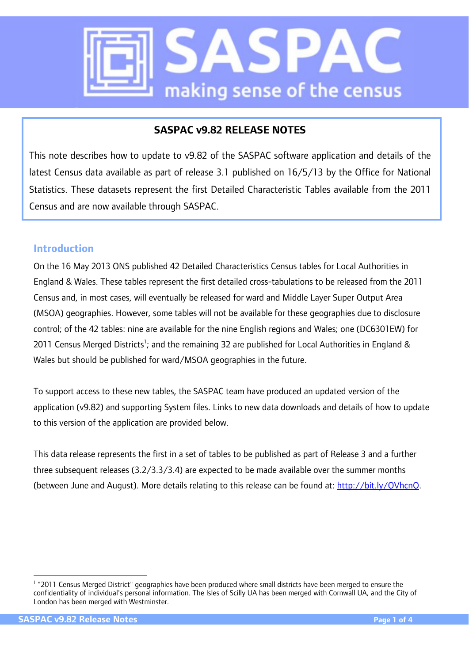

## **SASPAC v9.82 RELEASE NOTES**

This note describes how to update to v9.82 of the SASPAC software application and details of the latest Census data available as part of release 3.1 published on 16/5/13 by the Office for National Statistics. These datasets represent the first Detailed Characteristic Tables available from the 2011 Census and are now available through SASPAC.

## **Introduction**

On the 16 May 2013 ONS published 42 Detailed Characteristics Census tables for Local Authorities in England & Wales. These tables represent the first detailed cross-tabulations to be released from the 2011 Census and, in most cases, will eventually be released for ward and Middle Layer Super Output Area (MSOA) geographies. However, some tables will not be available for these geographies due to disclosure control; of the 42 tables: nine are available for the nine English regions and Wales; one (DC6301EW) for 2011 Census Merged Districts<sup>1</sup>; and the remaining 32 are published for Local Authorities in England & Wales but should be published for ward/MSOA geographies in the future.

To support access to these new tables, the SASPAC team have produced an updated version of the application (v9.82) and supporting System files. Links to new data downloads and details of how to update to this version of the application are provided below.

This data release represents the first in a set of tables to be published as part of Release 3 and a further three subsequent releases (3.2/3.3/3.4) are expected to be made available over the summer months (between June and August). More details relating to this release can be found at: http://bit.ly/QVhcnQ.

 $\overline{a}$ 

<sup>&</sup>lt;sup>1</sup> "2011 Census Merged District" geographies have been produced where small districts have been merged to ensure the confidentiality of individual's personal information. The Isles of Scilly UA has been merged with Cornwall UA, and the City of London has been merged with Westminster.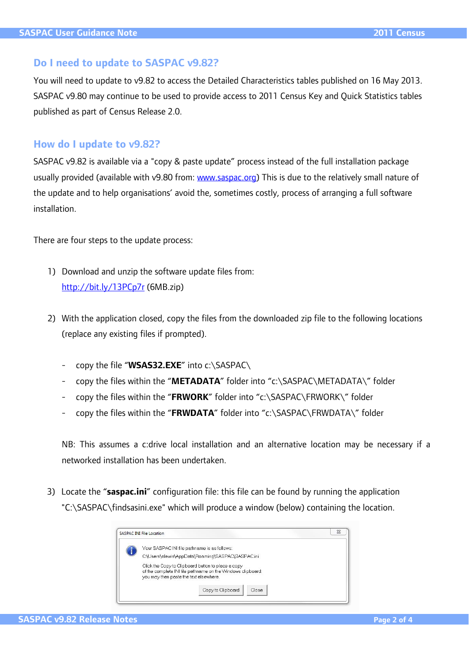## **Do I need to update to SASPAC v9.82?**

You will need to update to v9.82 to access the Detailed Characteristics tables published on 16 May 2013. SASPAC v9.80 may continue to be used to provide access to 2011 Census Key and Quick Statistics tables published as part of Census Release 2.0.

## **How do I update to v9.82?**

SASPAC v9.82 is available via a "copy & paste update" process instead of the full installation package usually provided (available with v9.80 from: www.saspac.org) This is due to the relatively small nature of the update and to help organisations' avoid the, sometimes costly, process of arranging a full software installation.

There are four steps to the update process:

- 1) Download and unzip the software update files from: http://bit.ly/13PCp7r (6MB.zip)
- 2) With the application closed, copy the files from the downloaded zip file to the following locations (replace any existing files if prompted).
	- copy the file "**WSAS32.EXE**" into c:\SASPAC\
	- copy the files within the "**METADATA**" folder into "c:\SASPAC\METADATA\" folder
	- copy the files within the "FRWORK" folder into "c:\SASPAC\FRWORK\" folder
	- copy the files within the "**FRWDATA**" folder into "c:\SASPAC\FRWDATA\" folder

 NB: This assumes a c:drive local installation and an alternative location may be necessary if a networked installation has been undertaken.

3) Locate the "**saspac.ini**" configuration file: this file can be found by running the application "C:\SASPAC\findsasini.exe" which will produce a window (below) containing the location.

|  | SASPAC INI File Location                                                                                                                                    |                   |       |  |
|--|-------------------------------------------------------------------------------------------------------------------------------------------------------------|-------------------|-------|--|
|  | Your SASPAC INI file pathname is as follows:                                                                                                                |                   |       |  |
|  | C:\Users\alewis\AppData\Roaminq\SASPAC\SASPAC.ini                                                                                                           |                   |       |  |
|  | Click the Copy to Clipboard button to place a copy<br>of the complete INI file pathname on the Windows clipboard:<br>you may then paste the text elsewhere. |                   |       |  |
|  |                                                                                                                                                             | Copy to Clipboard | Close |  |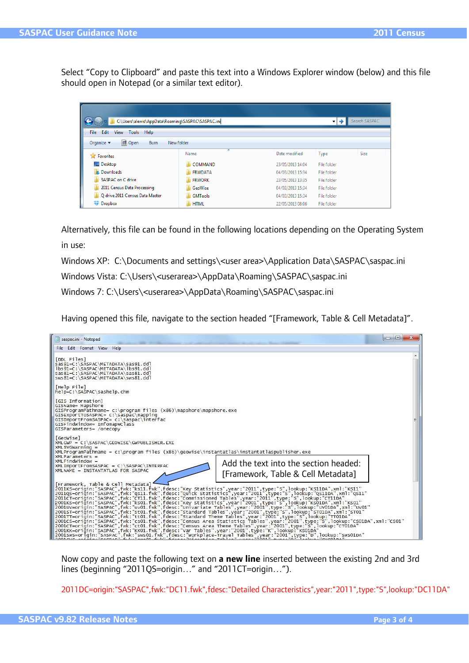Select "Copy to Clipboard" and paste this text into a Windows Explorer window (below) and this file should open in Notepad (or a similar text editor).

|                                                               |                |                  |                    | Search SASPAC |  |  |  |  |  |  |
|---------------------------------------------------------------|----------------|------------------|--------------------|---------------|--|--|--|--|--|--|
| C:\Users\alewis\AppData\Roaming\SASPAC\SASPAC.ini             |                |                  |                    |               |  |  |  |  |  |  |
| File Edit<br>View<br>Tools Help                               |                |                  |                    |               |  |  |  |  |  |  |
| 同 Open<br>Organize $\blacktriangledown$<br>New folder<br>Burn |                |                  |                    |               |  |  |  |  |  |  |
| <b>The Favorites</b>                                          | ≖<br>Name      | Date modified    | Type               | Size          |  |  |  |  |  |  |
| Desktop                                                       | COMMAND        | 23/05/2013 14:04 | File folder        |               |  |  |  |  |  |  |
| Downloads<br>lń.                                              | <b>FRWDATA</b> | 04/03/2013 15:34 | File folder        |               |  |  |  |  |  |  |
| <b>SASPAC on C drive</b>                                      | <b>FRWORK</b>  | 23/05/2013 13:35 | File folder        |               |  |  |  |  |  |  |
| 2011 Census Data Processing                                   | GeoWise        | 04/03/2013 15:34 | <b>File folder</b> |               |  |  |  |  |  |  |
| O drive 2011 Census Data Master                               | <b>GMTools</b> | 04/03/2013 15:34 | File folder        |               |  |  |  |  |  |  |
| <b>Dropbox</b>                                                | <b>HTML</b>    | 22/05/2013 08:06 | File folder        |               |  |  |  |  |  |  |

Alternatively, this file can be found in the following locations depending on the Operating System in use:

Windows XP: C:\Documents and settings\<user area>\Application Data\SASPAC\saspac.ini

Windows Vista: C:\Users\<userarea>\AppData\Roaming\SASPAC\saspac.ini

Windows 7: C:\Users\<userarea>\AppData\Roaming\SASPAC\saspac.ini

Having opened this file, navigate to the section headed "[Framework, Table & Cell Metadata]".



Now copy and paste the following text on **a new line** inserted between the existing 2nd and 3rd lines (beginning "2011QS=origin…" and "2011CT=origin…").

2011DC=origin:"SASPAC",fwk:"DC11.fwk",fdesc:"Detailed Characteristics",year:"2011",type:"S",lookup:"DC11DA"